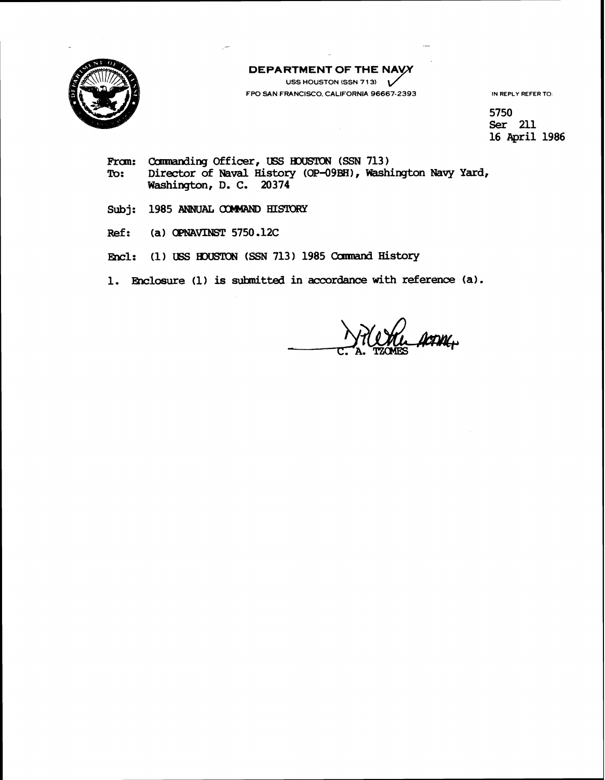

**DEPARTMENT OF THE NAVY** USS HOUSTON (SSN 713) V

**FPO SAN FRANCISCO, CALIFORNIA 96667-2393** IN REPLY REFER TO:

5750 Ser 211 **16 April 1986** 

- From: Commanding Officer, USS HOUSTON (SSN 713)<br>To: Director of Naval History (OP-09BH), Wash: **To: Director of Naval History (OP-O9BH)** , **Washiragton Navy Yard, Washington, D. C. 20374**
- Subj: 1985 ANNUAL **COMMAND HISTORY**
- **Ref:** (a) **OPNAVINST** 5750.12C
- Encl: (1) USS HOUSTON (SSN 713) 1985 Command History
- **1. Enclosure (1) is submitted in accordance with reference (a).**